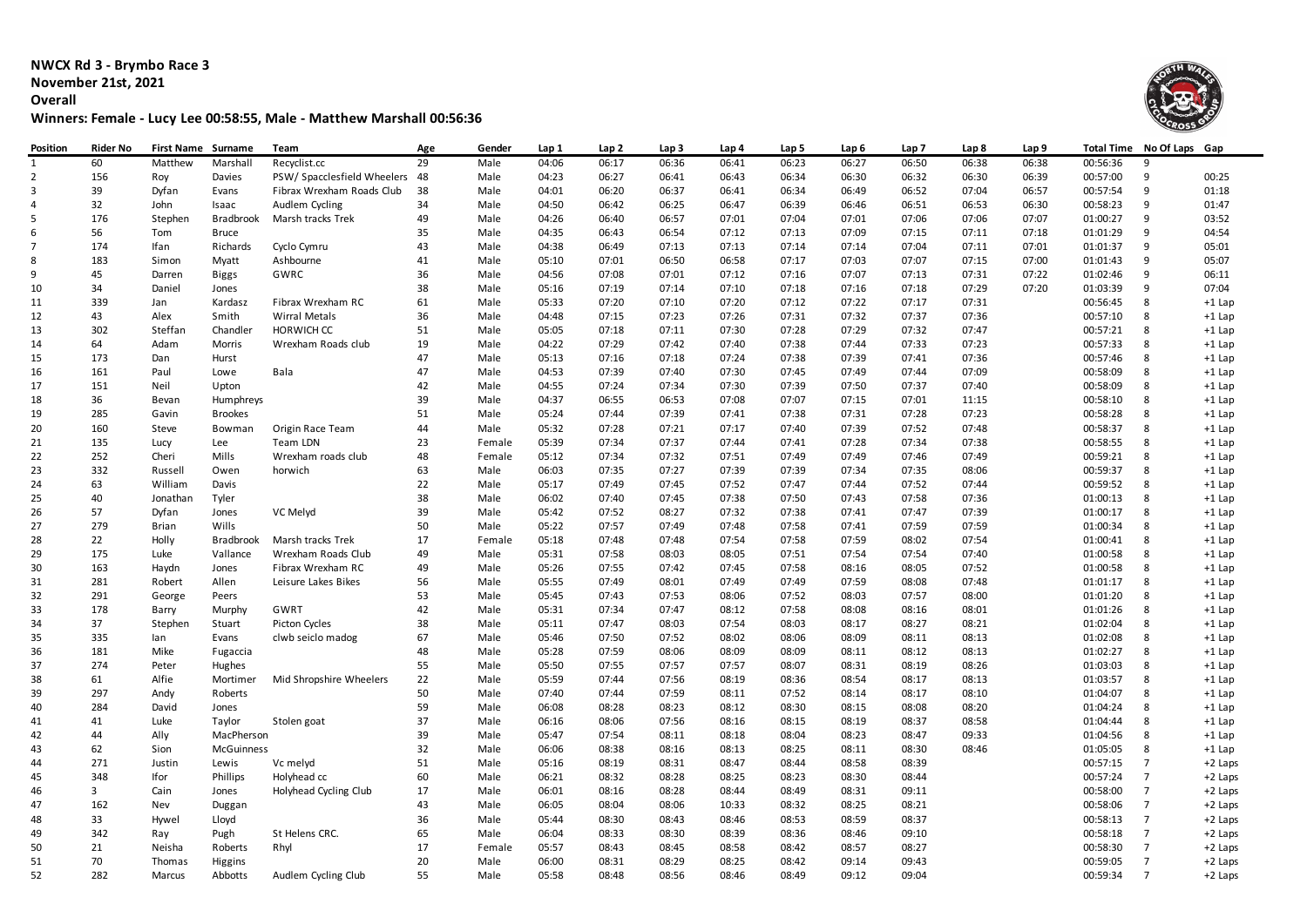**NWCX Rd 3 - Brymbo Race 3**

**November 21st, 2021**

**Overall**

# **Winners: Female - Lucy Lee 00:58:55, Male - Matthew Marshall 00:56:36**



| Position       | <b>Rider No</b> | <b>First Name Surname</b> |                   | Team                        | Age | Gender | Lap 1 | Lap <sub>2</sub> | Lap 3 | Lap 4 | Lap 5 | Lap <sub>6</sub> | Lap <sub>7</sub> | Lap 8 | Lap 9 |          | Total Time No Of Laps Gap |          |
|----------------|-----------------|---------------------------|-------------------|-----------------------------|-----|--------|-------|------------------|-------|-------|-------|------------------|------------------|-------|-------|----------|---------------------------|----------|
| $\mathbf{1}$   | 60              | Matthew                   | Marshall          | Recyclist.cc                | 29  | Male   | 04:06 | 06:17            | 06:36 | 06:41 | 06:23 | 06:27            | 06:50            | 06:38 | 06:38 | 00:56:36 | 9                         |          |
| 2              | 156             | Roy                       | Davies            | PSW/ Spacclesfield Wheelers | 48  | Male   | 04:23 | 06:27            | 06:41 | 06:43 | 06:34 | 06:30            | 06:32            | 06:30 | 06:39 | 00:57:00 | 9                         | 00:25    |
| 3              | 39              | Dyfan                     | Evans             | Fibrax Wrexham Roads Club   | 38  | Male   | 04:01 | 06:20            | 06:37 | 06:41 | 06:34 | 06:49            | 06:52            | 07:04 | 06:57 | 00:57:54 | 9                         | 01:18    |
| 4              | 32              | John                      | Isaac             | Audlem Cycling              | 34  | Male   | 04:50 | 06:42            | 06:25 | 06:47 | 06:39 | 06:46            | 06:51            | 06:53 | 06:30 | 00:58:23 | 9                         | 01:47    |
| 5              | 176             | Stephen                   | Bradbrook         | Marsh tracks Trek           | 49  | Male   | 04:26 | 06:40            | 06:57 | 07:01 | 07:04 | 07:01            | 07:06            | 07:06 | 07:07 | 01:00:27 | 9                         | 03:52    |
| 6              | 56              | Tom                       | <b>Bruce</b>      |                             | 35  | Male   | 04:35 | 06:43            | 06:54 | 07:12 | 07:13 | 07:09            | 07:15            | 07:11 | 07:18 | 01:01:29 | 9                         | 04:54    |
| $\overline{7}$ | 174             | Ifan                      | Richards          | Cyclo Cymru                 | 43  | Male   | 04:38 | 06:49            | 07:13 | 07:13 | 07:14 | 07:14            | 07:04            | 07:11 | 07:01 | 01:01:37 | 9                         | 05:01    |
| 8              | 183             | Simon                     | Myatt             | Ashbourne                   | 41  | Male   | 05:10 | 07:01            | 06:50 | 06:58 | 07:17 | 07:03            | 07:07            | 07:15 | 07:00 | 01:01:43 | 9                         | 05:07    |
| 9              | 45              | Darren                    | <b>Biggs</b>      | GWRC                        | 36  | Male   | 04:56 | 07:08            | 07:01 | 07:12 | 07:16 | 07:07            | 07:13            | 07:31 | 07:22 | 01:02:46 | 9                         | 06:11    |
| 10             | 34              | Daniel                    | Jones             |                             | 38  | Male   | 05:16 | 07:19            | 07:14 | 07:10 | 07:18 | 07:16            | 07:18            | 07:29 | 07:20 | 01:03:39 | 9                         | 07:04    |
| 11             | 339             | Jan                       | Kardasz           | Fibrax Wrexham RC           | 61  | Male   | 05:33 | 07:20            | 07:10 | 07:20 | 07:12 | 07:22            | 07:17            | 07:31 |       | 00:56:45 | 8                         | $+1$ Lap |
| 12             | 43              | Alex                      | Smith             | <b>Wirral Metals</b>        | 36  | Male   | 04:48 | 07:15            | 07:23 | 07:26 | 07:31 | 07:32            | 07:37            | 07:36 |       | 00:57:10 | 8                         | $+1$ Lap |
| 13             | 302             | Steffan                   | Chandler          | HORWICH CC                  | 51  | Male   | 05:05 | 07:18            | 07:11 | 07:30 | 07:28 | 07:29            | 07:32            | 07:47 |       | 00:57:21 | 8                         | $+1$ Lap |
| 14             | 64              | Adam                      | Morris            | Wrexham Roads club          | 19  | Male   | 04:22 | 07:29            | 07:42 | 07:40 | 07:38 | 07:44            | 07:33            | 07:23 |       | 00:57:33 | 8                         | $+1$ Lap |
| 15             | 173             | Dan                       | Hurst             |                             | 47  | Male   | 05:13 | 07:16            | 07:18 | 07:24 | 07:38 | 07:39            | 07:41            | 07:36 |       | 00:57:46 | 8                         | $+1$ Lap |
| 16             | 161             | Paul                      | Lowe              | Bala                        | 47  | Male   | 04:53 | 07:39            | 07:40 | 07:30 | 07:45 | 07:49            | 07:44            | 07:09 |       | 00:58:09 | 8                         | $+1$ Lap |
| 17             | 151             | Neil                      | Upton             |                             | 42  | Male   | 04:55 | 07:24            | 07:34 | 07:30 | 07:39 | 07:50            | 07:37            | 07:40 |       | 00:58:09 | 8                         | $+1$ Lap |
| 18             | 36              | Bevan                     | Humphreys         |                             | 39  | Male   | 04:37 | 06:55            | 06:53 | 07:08 | 07:07 | 07:15            | 07:01            | 11:15 |       | 00:58:10 | 8                         | $+1$ Lap |
| 19             | 285             | Gavin                     | <b>Brookes</b>    |                             | 51  | Male   | 05:24 | 07:44            | 07:39 | 07:41 | 07:38 | 07:31            | 07:28            | 07:23 |       | 00:58:28 | 8                         | $+1$ Lap |
| 20             | 160             | Steve                     | Bowman            | Origin Race Team            | 44  | Male   | 05:32 | 07:28            | 07:21 | 07:17 | 07:40 | 07:39            | 07:52            | 07:48 |       | 00:58:37 | 8                         | $+1$ Lap |
| 21             | 135             | Lucy                      | Lee               | Team LDN                    | 23  | Female | 05:39 | 07:34            | 07:37 | 07:44 | 07:41 | 07:28            | 07:34            | 07:38 |       | 00:58:55 | 8                         | $+1$ Lap |
| 22             | 252             | Cheri                     | Mills             | Wrexham roads club          | 48  | Female | 05:12 | 07:34            | 07:32 | 07:51 | 07:49 | 07:49            | 07:46            | 07:49 |       | 00:59:21 | 8                         | $+1$ Lap |
| 23             | 332             | Russell                   | Owen              | horwich                     | 63  | Male   | 06:03 | 07:35            | 07:27 | 07:39 | 07:39 | 07:34            | 07:35            | 08:06 |       | 00:59:37 | 8                         | $+1$ Lap |
| 24             | 63              | William                   | Davis             |                             | 22  | Male   | 05:17 | 07:49            | 07:45 | 07:52 | 07:47 | 07:44            | 07:52            | 07:44 |       | 00:59:52 | 8                         | $+1$ Lap |
| 25             | 40              | Jonathan                  | Tyler             |                             | 38  | Male   | 06:02 | 07:40            | 07:45 | 07:38 | 07:50 | 07:43            | 07:58            | 07:36 |       | 01:00:13 | 8                         | $+1$ Lap |
| 26             | 57              | Dyfan                     | Jones             | VC Melyd                    | 39  | Male   | 05:42 | 07:52            | 08:27 | 07:32 | 07:38 | 07:41            | 07:47            | 07:39 |       | 01:00:17 | 8                         | $+1$ Lap |
| 27             | 279             | Brian                     | Wills             |                             | 50  | Male   | 05:22 | 07:57            | 07:49 | 07:48 | 07:58 | 07:41            | 07:59            | 07:59 |       | 01:00:34 | 8                         | $+1$ Lap |
| 28             | 22              | Holly                     | Bradbrook         | Marsh tracks Trek           | 17  | Female | 05:18 | 07:48            | 07:48 | 07:54 | 07:58 | 07:59            | 08:02            | 07:54 |       | 01:00:41 | 8                         | $+1$ Lap |
| 29             | 175             | Luke                      | Vallance          | Wrexham Roads Club          | 49  | Male   | 05:31 | 07:58            | 08:03 | 08:05 | 07:51 | 07:54            | 07:54            | 07:40 |       | 01:00:58 | 8                         | $+1$ Lap |
| 30             | 163             | Haydn                     | Jones             | Fibrax Wrexham RC           | 49  | Male   | 05:26 | 07:55            | 07:42 | 07:45 | 07:58 | 08:16            | 08:05            | 07:52 |       | 01:00:58 | 8                         | $+1$ Lap |
| 31             | 281             | Robert                    | Allen             | Leisure Lakes Bikes         | 56  | Male   | 05:55 | 07:49            | 08:01 | 07:49 | 07:49 | 07:59            | 08:08            | 07:48 |       | 01:01:17 | 8                         | $+1$ Lap |
| 32             | 291             | George                    | Peers             |                             | 53  | Male   | 05:45 | 07:43            | 07:53 | 08:06 | 07:52 | 08:03            | 07:57            | 08:00 |       | 01:01:20 | 8                         | $+1$ Lap |
| 33             | 178             | Barry                     | Murphy            | GWRT                        | 42  | Male   | 05:31 | 07:34            | 07:47 | 08:12 | 07:58 | 08:08            | 08:16            | 08:01 |       | 01:01:26 | 8                         | $+1$ Lap |
| 34             | 37              | Stephen                   | Stuart            | Picton Cycles               | 38  | Male   | 05:11 | 07:47            | 08:03 | 07:54 | 08:03 | 08:17            | 08:27            | 08:21 |       | 01:02:04 | 8                         | $+1$ Lap |
| 35             | 335             | lan                       | Evans             | clwb seiclo madog           | 67  | Male   | 05:46 | 07:50            | 07:52 | 08:02 | 08:06 | 08:09            | 08:11            | 08:13 |       | 01:02:08 | 8                         | $+1$ Lap |
| 36             | 181             | Mike                      | Fugaccia          |                             | 48  | Male   | 05:28 | 07:59            | 08:06 | 08:09 | 08:09 | 08:11            | 08:12            | 08:13 |       | 01:02:27 | 8                         | $+1$ Lap |
| 37             | 274             | Peter                     | Hughes            |                             | 55  | Male   | 05:50 | 07:55            | 07:57 | 07:57 | 08:07 | 08:31            | 08:19            | 08:26 |       | 01:03:03 | 8                         | $+1$ Lap |
| 38             | 61              | Alfie                     | Mortimer          | Mid Shropshire Wheelers     | 22  | Male   | 05:59 | 07:44            | 07:56 | 08:19 | 08:36 | 08:54            | 08:17            | 08:13 |       | 01:03:57 | 8                         | $+1$ Lap |
| 39             | 297             | Andy                      | Roberts           |                             | 50  | Male   | 07:40 | 07:44            | 07:59 | 08:11 | 07:52 | 08:14            | 08:17            | 08:10 |       | 01:04:07 | 8                         | $+1$ Lap |
| 40             | 284             | David                     | Jones             |                             | 59  | Male   | 06:08 | 08:28            | 08:23 | 08:12 | 08:30 | 08:15            | 08:08            | 08:20 |       | 01:04:24 | 8                         | $+1$ Lap |
| 41             | 41              | Luke                      | Taylor            | Stolen goat                 | 37  | Male   | 06:16 | 08:06            | 07:56 | 08:16 | 08:15 | 08:19            | 08:37            | 08:58 |       | 01:04:44 | 8                         | $+1$ Lap |
| 42             | 44              | Ally                      | MacPherson        |                             | 39  | Male   | 05:47 | 07:54            | 08:11 | 08:18 | 08:04 | 08:23            | 08:47            | 09:33 |       | 01:04:56 | 8                         | $+1$ Lap |
| 43             | 62              | Sion                      | <b>McGuinness</b> |                             | 32  | Male   | 06:06 | 08:38            | 08:16 | 08:13 | 08:25 | 08:11            | 08:30            | 08:46 |       | 01:05:05 | 8                         | $+1$ Lap |
| 44             | 271             | Justin                    | Lewis             | Vc melyd                    | 51  | Male   | 05:16 | 08:19            | 08:31 | 08:47 | 08:44 | 08:58            | 08:39            |       |       | 00:57:15 | $\overline{7}$            | +2 Laps  |
| 45             | 348             | Ifor                      | Phillips          | Holyhead cc                 | 60  | Male   | 06:21 | 08:32            | 08:28 | 08:25 | 08:23 | 08:30            | 08:44            |       |       | 00:57:24 | $\overline{7}$            | +2 Laps  |
| 46             | $\overline{3}$  | Cain                      | Jones             | Holyhead Cycling Club       | 17  | Male   | 06:01 | 08:16            | 08:28 | 08:44 | 08:49 | 08:31            | 09:11            |       |       | 00:58:00 | $\overline{7}$            | +2 Laps  |
| 47             | 162             | Nev                       | Duggan            |                             | 43  | Male   | 06:05 | 08:04            | 08:06 | 10:33 | 08:32 | 08:25            | 08:21            |       |       | 00:58:06 | $\overline{7}$            | +2 Laps  |
| 48             | 33              | Hywel                     | Lloyd             |                             | 36  | Male   | 05:44 | 08:30            | 08:43 | 08:46 | 08:53 | 08:59            | 08:37            |       |       | 00:58:13 | $\overline{7}$            | +2 Laps  |
| 49             | 342             | Ray                       | Pugh              | St Helens CRC.              | 65  | Male   | 06:04 | 08:33            | 08:30 | 08:39 | 08:36 | 08:46            | 09:10            |       |       | 00:58:18 | $\overline{7}$            | +2 Laps  |
| 50             | 21              | Neisha                    | Roberts           | Rhyl                        | 17  | Female | 05:57 | 08:43            | 08:45 | 08:58 | 08:42 | 08:57            | 08:27            |       |       | 00:58:30 | $\overline{7}$            | +2 Laps  |
| 51             | 70              | Thomas                    | Higgins           |                             | 20  | Male   | 06:00 | 08:31            | 08:29 | 08:25 | 08:42 | 09:14            | 09:43            |       |       | 00:59:05 | $\overline{7}$            | +2 Laps  |
| 52             | 282             | Marcus                    | Abbotts           | Audlem Cycling Club         | 55  | Male   | 05:58 | 08:48            | 08:56 | 08:46 | 08:49 | 09:12            | 09:04            |       |       | 00:59:34 | $\overline{7}$            | +2 Laps  |
|                |                 |                           |                   |                             |     |        |       |                  |       |       |       |                  |                  |       |       |          |                           |          |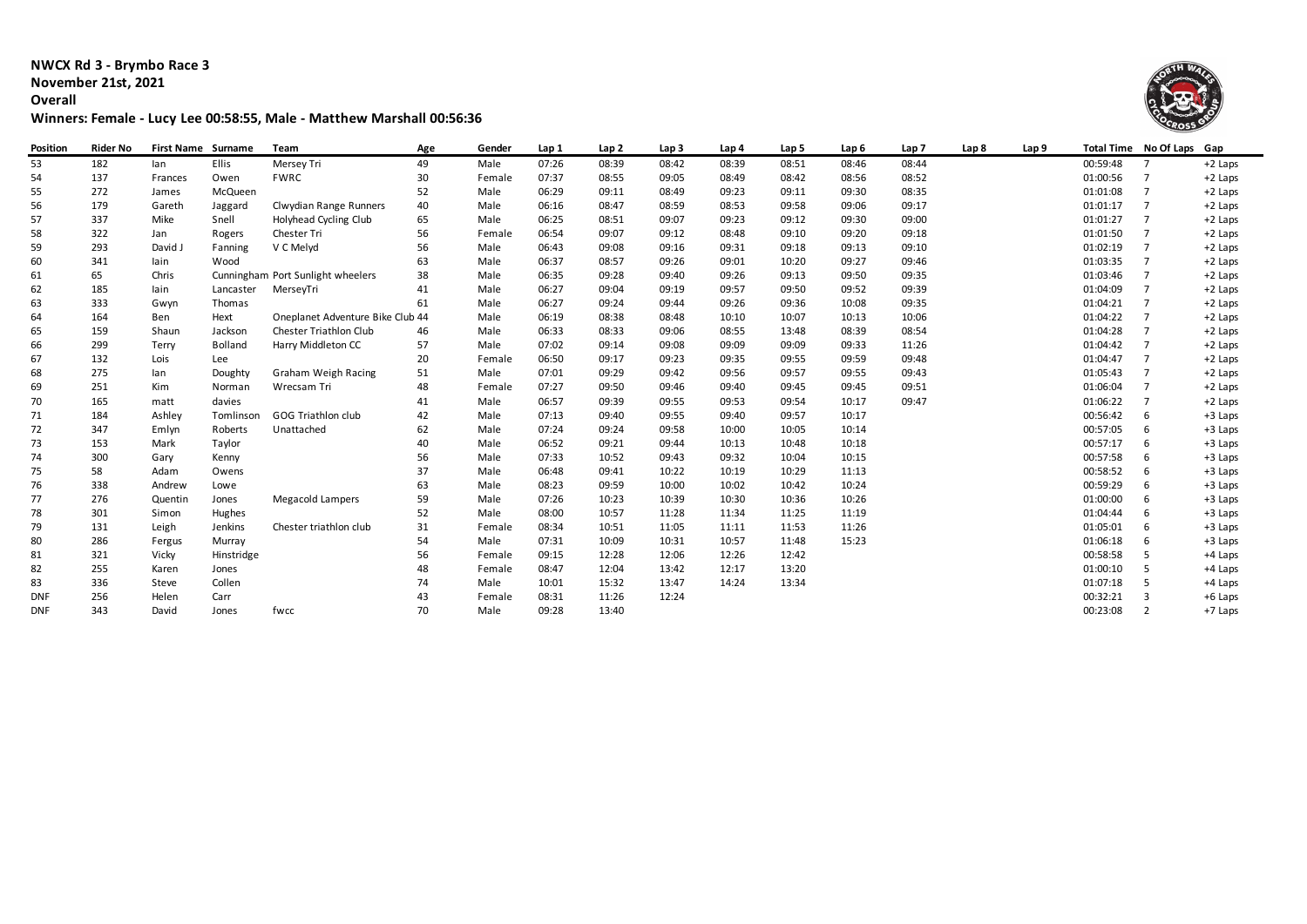**NWCX Rd 3 - Brymbo Race 3**

**November 21st, 2021**

**Overall**

# **Winners: Female - Lucy Lee 00:58:55, Male - Matthew Marshall 00:56:36**



| Position   | <b>Rider No</b> | First Name Surname |                | <b>Team</b>                       | Age | Gender | Lap 1 | Lap <sub>2</sub> | Lap <sub>3</sub> | Lap 4 | Lap 5 | Lap <sub>6</sub> | Lap <sub>7</sub> | Lap 8 | Lap <sub>9</sub> |          | Total Time No Of Laps | Gap       |
|------------|-----------------|--------------------|----------------|-----------------------------------|-----|--------|-------|------------------|------------------|-------|-------|------------------|------------------|-------|------------------|----------|-----------------------|-----------|
| 53         | 182             | lan                | Ellis          | Mersey Tri                        | 49  | Male   | 07:26 | 08:39            | 08:42            | 08:39 | 08:51 | 08:46            | 08:44            |       |                  | 00:59:48 | $\overline{7}$        | $+2$ Laps |
| 54         | 137             | Frances            | Owen           | <b>FWRC</b>                       | 30  | Female | 07:37 | 08:55            | 09:05            | 08:49 | 08:42 | 08:56            | 08:52            |       |                  | 01:00:56 | 7                     | +2 Laps   |
| 55         | 272             | James              | McQueen        |                                   | 52  | Male   | 06:29 | 09:11            | 08:49            | 09:23 | 09:11 | 09:30            | 08:35            |       |                  | 01:01:08 | $\overline{7}$        | +2 Laps   |
| 56         | 179             | Gareth             | Jaggard        | Clwydian Range Runners            | 40  | Male   | 06:16 | 08:47            | 08:59            | 08:53 | 09:58 | 09:06            | 09:17            |       |                  | 01:01:17 | $\overline{7}$        | +2 Laps   |
| 57         | 337             | Mike               | Snell          | Holyhead Cycling Club             | 65  | Male   | 06:25 | 08:51            | 09:07            | 09:23 | 09:12 | 09:30            | 09:00            |       |                  | 01:01:27 | $\overline{7}$        | +2 Laps   |
| 58         | 322             | Jan                | Rogers         | Chester Tri                       | 56  | Female | 06:54 | 09:07            | 09:12            | 08:48 | 09:10 | 09:20            | 09:18            |       |                  | 01:01:50 | 7                     | +2 Laps   |
| 59         | 293             | David.             | Fanning        | V C Melyd                         | 56  | Male   | 06:43 | 09:08            | 09:16            | 09:31 | 09:18 | 09:13            | 09:10            |       |                  | 01:02:19 | $\overline{7}$        | +2 Laps   |
| 60         | 341             | lain               | Wood           |                                   | 63  | Male   | 06:37 | 08:57            | 09:26            | 09:01 | 10:20 | 09:27            | 09:46            |       |                  | 01:03:35 | $\overline{7}$        | +2 Laps   |
| 61         | 65              | Chris              |                | Cunningham Port Sunlight wheelers | 38  | Male   | 06:35 | 09:28            | 09:40            | 09:26 | 09:13 | 09:50            | 09:35            |       |                  | 01:03:46 | $\overline{7}$        | +2 Laps   |
| 62         | 185             | lain               | Lancaster      | MerseyTri                         | 41  | Male   | 06:27 | 09:04            | 09:19            | 09:57 | 09:50 | 09:52            | 09:39            |       |                  | 01:04:09 | $\overline{7}$        | +2 Laps   |
| 63         | 333             | Gwyn               | Thomas         |                                   | 61  | Male   | 06:27 | 09:24            | 09:44            | 09:26 | 09:36 | 10:08            | 09:35            |       |                  | 01:04:21 | 7                     | +2 Laps   |
| 64         | 164             | Ben                | Hext           | Oneplanet Adventure Bike Club 44  |     | Male   | 06:19 | 08:38            | 08:48            | 10:10 | 10:07 | 10:13            | 10:06            |       |                  | 01:04:22 | $\overline{7}$        | +2 Laps   |
| 65         | 159             | Shaun              | Jackson        | <b>Chester Triathlon Club</b>     | 46  | Male   | 06:33 | 08:33            | 09:06            | 08:55 | 13:48 | 08:39            | 08:54            |       |                  | 01:04:28 | $\overline{7}$        | +2 Laps   |
| 66         | 299             | Terry              | <b>Bolland</b> | Harry Middleton CC                | 57  | Male   | 07:02 | 09:14            | 09:08            | 09:09 | 09:09 | 09:33            | 11:26            |       |                  | 01:04:42 | $\overline{7}$        | +2 Laps   |
| 67         | 132             | Lois               | Lee            |                                   | 20  | Female | 06:50 | 09:17            | 09:23            | 09:35 | 09:55 | 09:59            | 09:48            |       |                  | 01:04:47 | 7                     | +2 Laps   |
| 68         | 275             | lan                | Doughty        | <b>Graham Weigh Racing</b>        | 51  | Male   | 07:01 | 09:29            | 09:42            | 09:56 | 09:57 | 09:55            | 09:43            |       |                  | 01:05:43 | 7                     | +2 Laps   |
| 69         | 251             | Kim                | Norman         | Wrecsam Tri                       | 48  | Female | 07:27 | 09:50            | 09:46            | 09:40 | 09:45 | 09:45            | 09:51            |       |                  | 01:06:04 | 7                     | +2 Laps   |
| 70         | 165             | matt               | davies         |                                   | 41  | Male   | 06:57 | 09:39            | 09:55            | 09:53 | 09:54 | 10:17            | 09:47            |       |                  | 01:06:22 | $\overline{7}$        | +2 Laps   |
| 71         | 184             | Ashley             | Tomlinson      | <b>GOG Triathlon club</b>         | 42  | Male   | 07:13 | 09:40            | 09:55            | 09:40 | 09:57 | 10:17            |                  |       |                  | 00:56:42 | 6                     | +3 Laps   |
| 72         | 347             | Emlyn              | Roberts        | Unattached                        | 62  | Male   | 07:24 | 09:24            | 09:58            | 10:00 | 10:05 | 10:14            |                  |       |                  | 00:57:05 | 6                     | +3 Laps   |
| 73         | 153             | Mark               | Taylor         |                                   | 40  | Male   | 06:52 | 09:21            | 09:44            | 10:13 | 10:48 | 10:18            |                  |       |                  | 00:57:17 | 6                     | +3 Laps   |
| 74         | 300             | Gary               | Kenny          |                                   | 56  | Male   | 07:33 | 10:52            | 09:43            | 09:32 | 10:04 | 10:15            |                  |       |                  | 00:57:58 | 6                     | +3 Laps   |
| 75         | 58              | Adam               | Owens          |                                   | 37  | Male   | 06:48 | 09:41            | 10:22            | 10:19 | 10:29 | 11:13            |                  |       |                  | 00:58:52 | 6                     | +3 Laps   |
| 76         | 338             | Andrew             | Lowe           |                                   | 63  | Male   | 08:23 | 09:59            | 10:00            | 10:02 | 10:42 | 10:24            |                  |       |                  | 00:59:29 | 6                     | +3 Laps   |
| 77         | 276             | Quentin            | Jones          | <b>Megacold Lampers</b>           | 59  | Male   | 07:26 | 10:23            | 10:39            | 10:30 | 10:36 | 10:26            |                  |       |                  | 01:00:00 | 6                     | +3 Laps   |
| 78         | 301             | Simon              | Hughes         |                                   | 52  | Male   | 08:00 | 10:57            | 11:28            | 11:34 | 11:25 | 11:19            |                  |       |                  | 01:04:44 | 6                     | +3 Laps   |
| 79         | 131             | Leigh              | Jenkins        | Chester triathlon club            | 31  | Female | 08:34 | 10:51            | 11:05            | 11:11 | 11:53 | 11:26            |                  |       |                  | 01:05:01 | 6                     | +3 Laps   |
| 80         | 286             | Fergus             | Murray         |                                   | 54  | Male   | 07:31 | 10:09            | 10:31            | 10:57 | 11:48 | 15:23            |                  |       |                  | 01:06:18 | 6                     | +3 Laps   |
| 81         | 321             | Vicky              | Hinstridge     |                                   | 56  | Female | 09:15 | 12:28            | 12:06            | 12:26 | 12:42 |                  |                  |       |                  | 00:58:58 | 5                     | +4 Laps   |
| 82         | 255             | Karen              | Jones          |                                   | 48  | Female | 08:47 | 12:04            | 13:42            | 12:17 | 13:20 |                  |                  |       |                  | 01:00:10 | 5                     | +4 Laps   |
| 83         | 336             | Steve              | Collen         |                                   | 74  | Male   | 10:01 | 15:32            | 13:47            | 14:24 | 13:34 |                  |                  |       |                  | 01:07:18 | 5                     | +4 Laps   |
| <b>DNF</b> | 256             | Helen              | Carr           |                                   | 43  | Female | 08:31 | 11:26            | 12:24            |       |       |                  |                  |       |                  | 00:32:21 | 3                     | +6 Laps   |
| <b>DNF</b> | 343             | David              | Jones          | fwcc                              | 70  | Male   | 09:28 | 13:40            |                  |       |       |                  |                  |       |                  | 00:23:08 | $\mathcal{P}$         | +7 Laps   |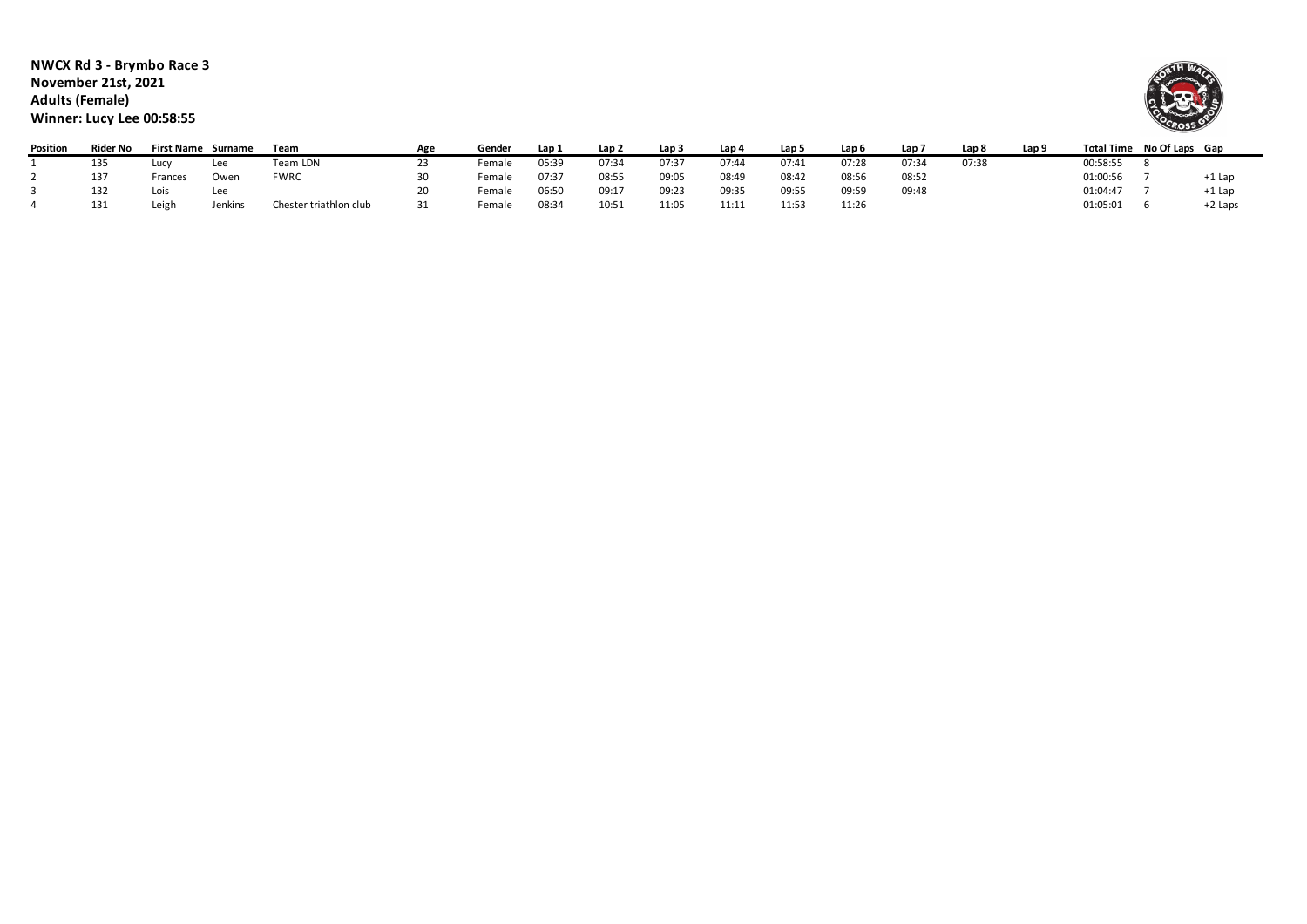#### **NWCX Rd 3 - Brymbo Race 3 November 21st, 2021 Adults (Female) Winner: Lucy Lee 00:58:55**



| Position | <b>Rider No</b> | <b>First Name</b> | Surname | Team                   | Age | Gender | Lap ? | Lap 2 | Lap 3 | Lap 4 | Lap 5 | Lap <sub>6</sub> | Lap,  | Lap 8 | Lap! |          | Total Time No Of Laps Gap |          |
|----------|-----------------|-------------------|---------|------------------------|-----|--------|-------|-------|-------|-------|-------|------------------|-------|-------|------|----------|---------------------------|----------|
|          | 135             | Lucy              | Lee     | Team LDN               |     | Female | 05:39 | 07:34 | 07:37 | 07:44 | 07:41 | 07:28            | 07:34 | 07:38 |      | 00:58:55 |                           |          |
|          | 137             | Frances           | Owen    | <b>FWRC</b>            |     | Female | 07:37 | 08:55 | 09:05 | 08:49 | 08:42 | 08:56            | 08:52 |       |      | 01:00:56 |                           | $+1$ Lap |
|          | 132             | Lois              | Lee     |                        |     | Female | 06:50 | 09:17 | 09:23 | 09:35 | 09:55 | 09:59            | 09:48 |       |      | 01:04:47 |                           | $+1$ Lap |
|          | 131             | Leigh             | Jenkins | Chester triathlon club |     | Female | 08:34 | 10:51 | 11:05 | 11:11 | 11:53 | 11:26            |       |       |      | 01:05:01 |                           | +2 Laps  |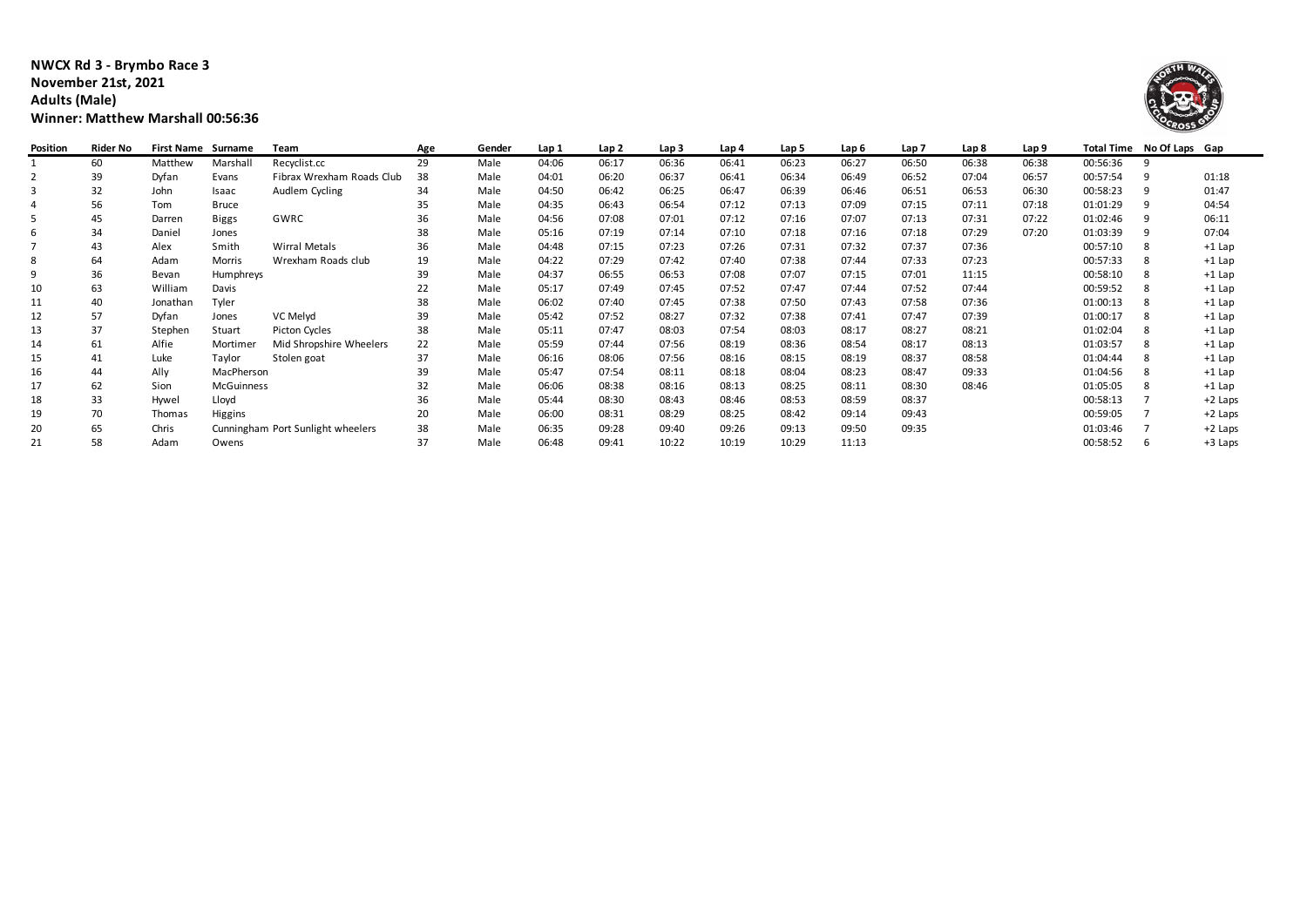## **NWCX Rd 3 - Brymbo Race 3 November 21st, 2021 Adults (Male) Winner: Matthew Marshall 00:56:36**



| Position       | Rider No | <b>First Name Surname</b> |                   | Team                              | Age | Gender | Lap 1 | Lap 2 | Lap 3 | Lap 4 | Lap 5 | Lap 6 | Lap <sub>7</sub> | Lap 8 | Lap 9 |          | Total Time No Of Laps Gap |          |
|----------------|----------|---------------------------|-------------------|-----------------------------------|-----|--------|-------|-------|-------|-------|-------|-------|------------------|-------|-------|----------|---------------------------|----------|
|                | 60       | Matthew                   | Marshall          | Recyclist.cc                      | 29  | Male   | 04:06 | 06:17 | 06:36 | 06:41 | 06:23 | 06:27 | 06:50            | 06:38 | 06:38 | 00:56:36 | 9                         |          |
| $\overline{2}$ | 39       | Dyfan                     | Evans             | Fibrax Wrexham Roads Club         | 38  | Male   | 04:01 | 06:20 | 06:37 | 06:41 | 06:34 | 06:49 | 06:52            | 07:04 | 06:57 | 00:57:54 | 9                         | 01:18    |
|                | 32       | John                      | Isaac             | Audlem Cycling                    | 34  | Male   | 04:50 | 06:42 | 06:25 | 06:47 | 06:39 | 06:46 | 06:51            | 06:53 | 06:30 | 00:58:23 | q                         | 01:47    |
|                | 56       | Tom                       | Bruce             |                                   | 35  | Male   | 04:35 | 06:43 | 06:54 | 07:12 | 07:13 | 07:09 | 07:15            | 07:11 | 07:18 | 01:01:29 | 9                         | 04:54    |
| -5             | 45       | Darren                    | <b>Biggs</b>      | GWRC                              | 36  | Male   | 04:56 | 07:08 | 07:01 | 07:12 | 07:16 | 07:07 | 07:13            | 07:31 | 07:22 | 01:02:46 |                           | 06:11    |
| 6              | 34       | Daniel                    | Jones             |                                   | 38  | Male   | 05:16 | 07:19 | 07:14 | 07:10 | 07:18 | 07:16 | 07:18            | 07:29 | 07:20 | 01:03:39 |                           | 07:04    |
|                | 43       | Alex                      | Smith             | Wirral Metals                     | 36  | Male   | 04:48 | 07:15 | 07:23 | 07:26 | 07:31 | 07:32 | 07:37            | 07:36 |       | 00:57:10 |                           | $+1$ Lap |
| 8              | 64       | Adam                      | Morris            | Wrexham Roads club                | 19  | Male   | 04:22 | 07:29 | 07:42 | 07:40 | 07:38 | 07:44 | 07:33            | 07:23 |       | 00:57:33 |                           | $+1$ Lap |
| 9              | 36       | Bevan                     | Humphreys         |                                   | 39  | Male   | 04:37 | 06:55 | 06:53 | 07:08 | 07:07 | 07:15 | 07:01            | 11:15 |       | 00:58:10 | 8                         | $+1$ Lap |
| 10             | 63       | William                   | Davis             |                                   | 22  | Male   | 05:17 | 07:49 | 07:45 | 07:52 | 07:47 | 07:44 | 07:52            | 07:44 |       | 00:59:52 |                           | $+1$ Lap |
| 11             | 40       | Jonathan                  | Tyler             |                                   | 38  | Male   | 06:02 | 07:40 | 07:45 | 07:38 | 07:50 | 07:43 | 07:58            | 07:36 |       | 01:00:13 | 8                         | $+1$ Lap |
| 12             | 57       | Dyfan                     | Jones             | VC Melvd                          | 39  | Male   | 05:42 | 07:52 | 08:27 | 07:32 | 07:38 | 07:41 | 07:47            | 07:39 |       | 01:00:17 |                           | $+1$ Lap |
| 13             | 37       | Stephen                   | Stuart            | Picton Cycles                     | 38  | Male   | 05:11 | 07:47 | 08:03 | 07:54 | 08:03 | 08:17 | 08:27            | 08:21 |       | 01:02:04 | 8                         | $+1$ Lap |
| 14             | 61       | Alfie                     | Mortimer          | Mid Shropshire Wheelers           | 22  | Male   | 05:59 | 07:44 | 07:56 | 08:19 | 08:36 | 08:54 | 08:17            | 08:13 |       | 01:03:57 | 8                         | $+1$ Lap |
| 15             | 41       | Luke                      | Taylor            | Stolen goat                       | 37  | Male   | 06:16 | 08:06 | 07:56 | 08:16 | 08:15 | 08:19 | 08:37            | 08:58 |       | 01:04:44 |                           | $+1$ Lap |
| 16             | 44       | Ally                      | MacPherson        |                                   | 39  | Male   | 05:47 | 07:54 | 08:11 | 08:18 | 08:04 | 08:23 | 08:47            | 09:33 |       | 01:04:56 |                           | $+1$ Lap |
| 17             | 62       | Sion                      | <b>McGuinness</b> |                                   | 32  | Male   | 06:06 | 08:38 | 08:16 | 08:13 | 08:25 | 08:11 | 08:30            | 08:46 |       | 01:05:05 | 8                         | $+1$ Lap |
| 18             | 33       | Hywel                     | Lloyd             |                                   | 36  | Male   | 05:44 | 08:30 | 08:43 | 08:46 | 08:53 | 08:59 | 08:37            |       |       | 00:58:13 |                           | +2 Laps  |
| 19             | 70       | Thomas                    | Higgins           |                                   | 20  | Male   | 06:00 | 08:31 | 08:29 | 08:25 | 08:42 | 09:14 | 09:43            |       |       | 00:59:05 |                           | +2 Laps  |
| 20             | 65       | Chris                     |                   | Cunningham Port Sunlight wheelers | 38  | Male   | 06:35 | 09:28 | 09:40 | 09:26 | 09:13 | 09:50 | 09:35            |       |       | 01:03:46 |                           | +2 Laps  |
| 21             | 58       | Adam                      | Owens             |                                   | 37  | Male   | 06:48 | 09:41 | 10:22 | 10:19 | 10:29 | 11:13 |                  |       |       | 00:58:52 |                           | +3 Laps  |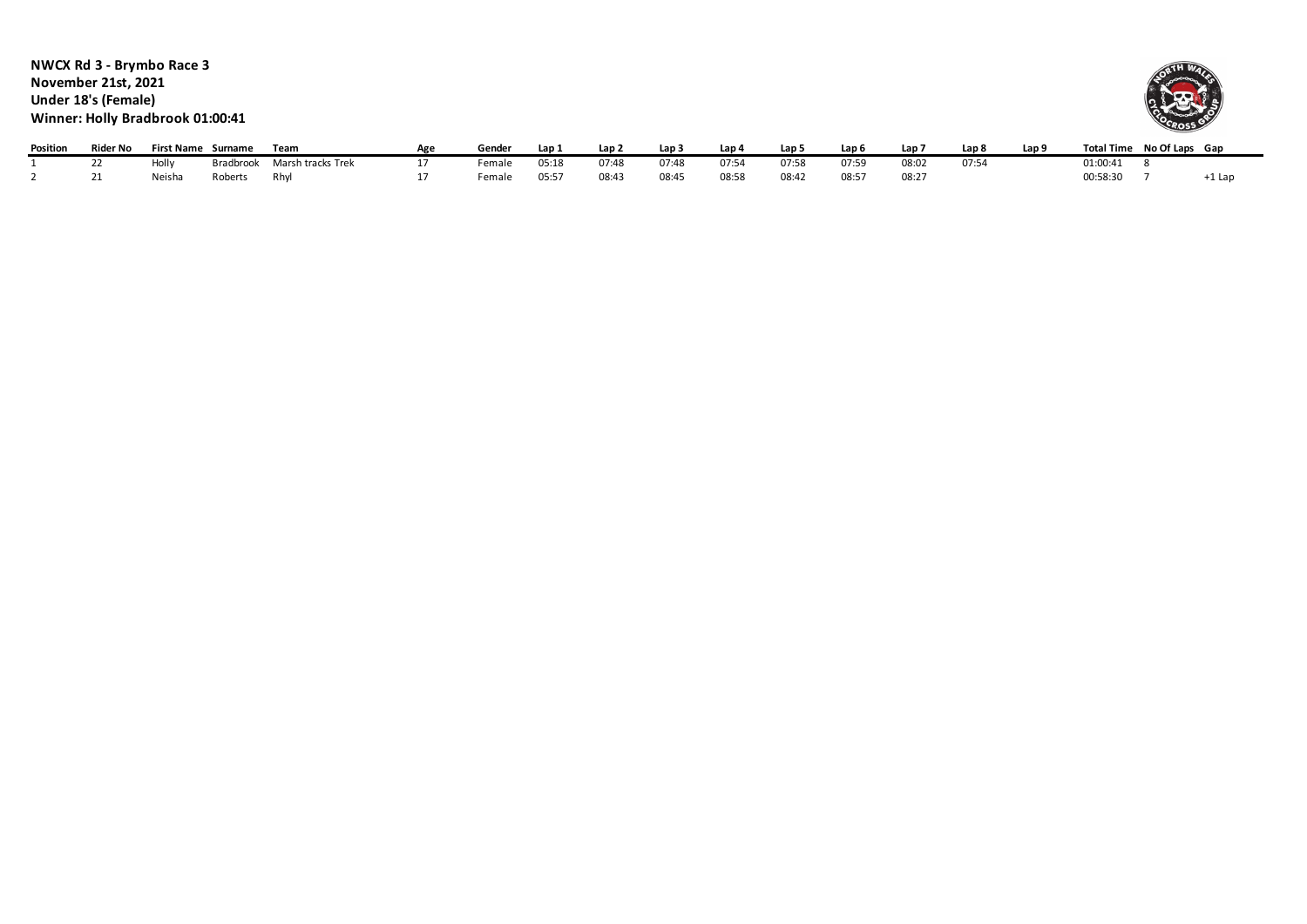#### **NWCX Rd 3 - Brymbo Race 3 November 21st, 2021 Under 18's (Female) Winner: Holly Bradbrook 01:00:41**



| Position | Rider No  |        | <b>First Name Surname</b> | Tear              | Gender | د Lap      | Lap 2 | Lan : | Lap   | Lap!  | Lap <sub>6</sub> | Lap i | Lap 8 | Lap! | Total Time No Of Laps Gap |        |
|----------|-----------|--------|---------------------------|-------------------|--------|------------|-------|-------|-------|-------|------------------|-------|-------|------|---------------------------|--------|
|          | <u>__</u> | Holly  | radbrook                  | Marsh tracks Trek | emale  | 05:18      | 07:48 | 07:48 | 07:54 | 07:58 | 07:59            | 08:02 | 07:54 |      | 01:00:41                  |        |
|          |           | Neisha | Roberts                   | Rhyl              | Female | $05:5^{-}$ | 08:43 | 08:45 | 08:58 | 08:42 | 08:57            | 08:27 |       |      | 00:58:30                  | ⊦1 Laı |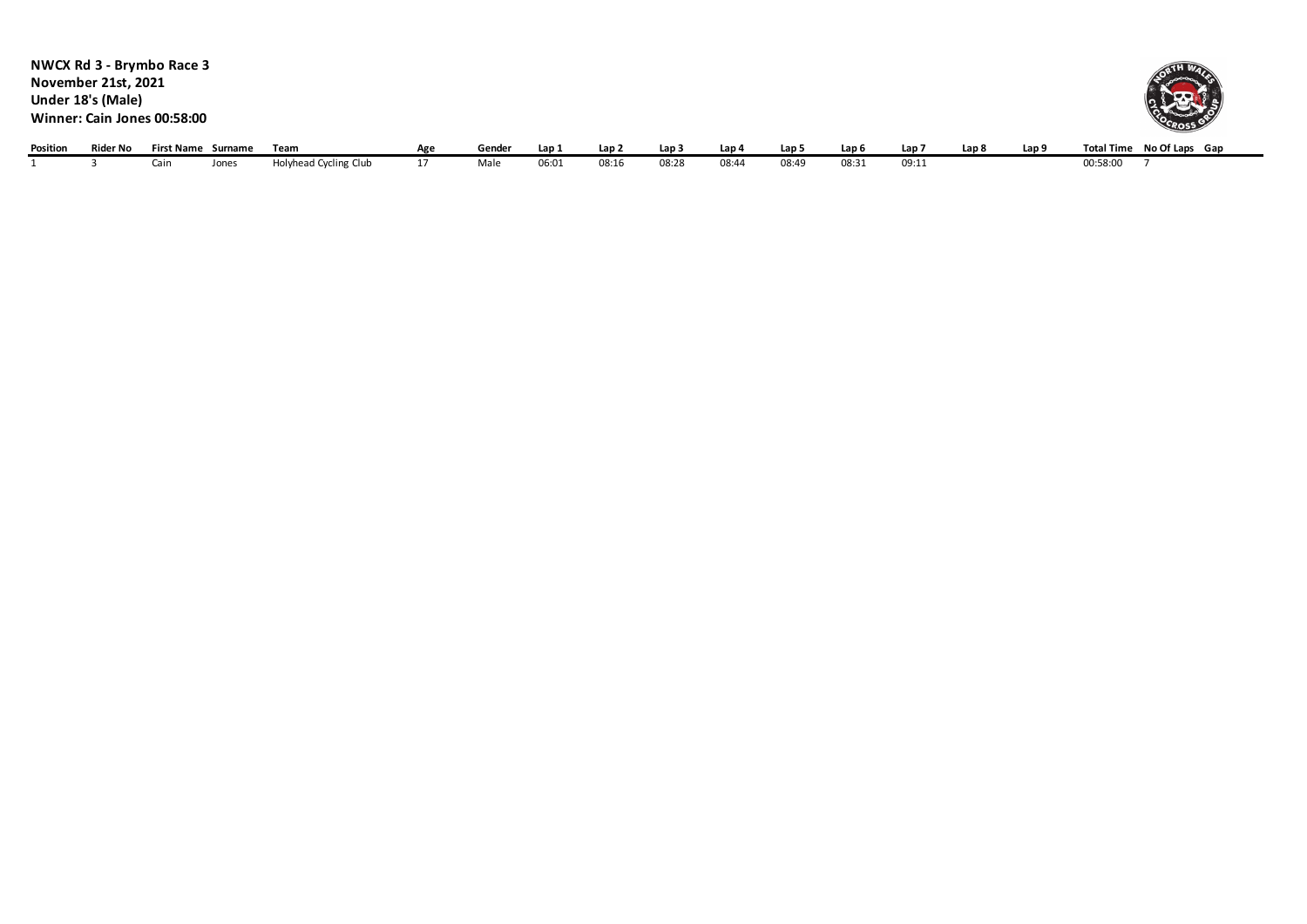|          | NWCX Rd 3 - Brymbo Race 3<br>November 21st, 2021<br>Under 18's (Male)<br>Winner: Cain Jones 00:58:00 |      |                           |                       |     |        |       |                  |       |       |                  |       |                  |       |       | OCROSS                    |
|----------|------------------------------------------------------------------------------------------------------|------|---------------------------|-----------------------|-----|--------|-------|------------------|-------|-------|------------------|-------|------------------|-------|-------|---------------------------|
| Position | Rider No                                                                                             |      | <b>First Name Surname</b> | Team                  | Age | Gender | Lap 1 | Lap <sub>2</sub> | Lap 3 | Lap 4 | Lap <sub>5</sub> | Lap 6 | Lap <sub>1</sub> | Lap 8 | Lap 9 | Total Time No Of Laps Gap |
|          |                                                                                                      | Cain | Jones                     | Holyhead Cycling Club | 17  | Male   | 06:01 | 08:16            | 08:28 | 08:44 | 08:49            | 08:31 | 09:11            |       |       | 00:58:00                  |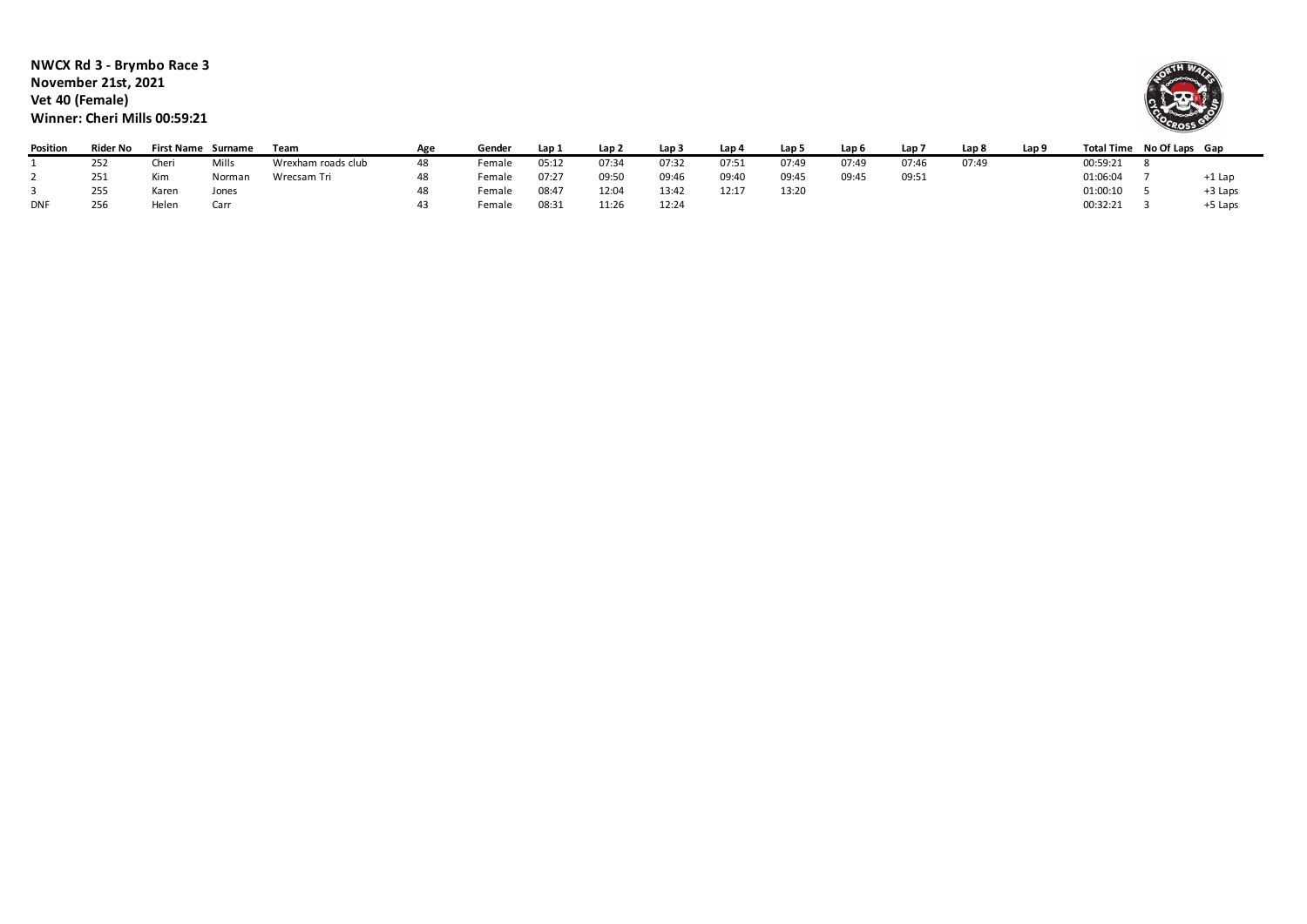## **NWCX Rd 3 - Brymbo Race 3 November 21st, 2021 Vet 40 (Female) Winner: Cheri Mills 00:59:21**



| Position   | Rider No | <b>First Name</b> | Surname | Team               | Age | Gender | Lap 1 | Lap 2 | Lap <sub>3</sub> | Lap 4 | Lap 5 | Lap <sub>6</sub> | Lap 7 | Lap 8 | Lap 9 |          | Total Time No Of Laps Gap |           |
|------------|----------|-------------------|---------|--------------------|-----|--------|-------|-------|------------------|-------|-------|------------------|-------|-------|-------|----------|---------------------------|-----------|
|            | 252      | Cheri             | Mills   | Wrexham roads club | 48  | Female | 05:12 | 07:34 | 07:32            | 07:51 | 07:49 | 07:49            | 07:46 | 07:49 |       | 00:59:21 |                           |           |
|            | 251      | Kim               | Norman  | Wrecsam Tri        |     | Female | 07:27 | 09:50 | 09:46            | 09:40 | 09:45 | 09:45            | 09:51 |       |       | 01:06:04 |                           | +1 Lap    |
|            | 255      | Karen             | Jones   |                    |     | Female | 08:47 | 12:04 | 13:42            | 12:17 | 13:20 |                  |       |       |       | 01:00:10 |                           | $+3$ Laps |
| <b>DNF</b> | 256      | Helen             | Carr    |                    |     | Female | 08:31 | 11:26 | 12:24            |       |       |                  |       |       |       | 00:32:21 |                           | +5 Laps   |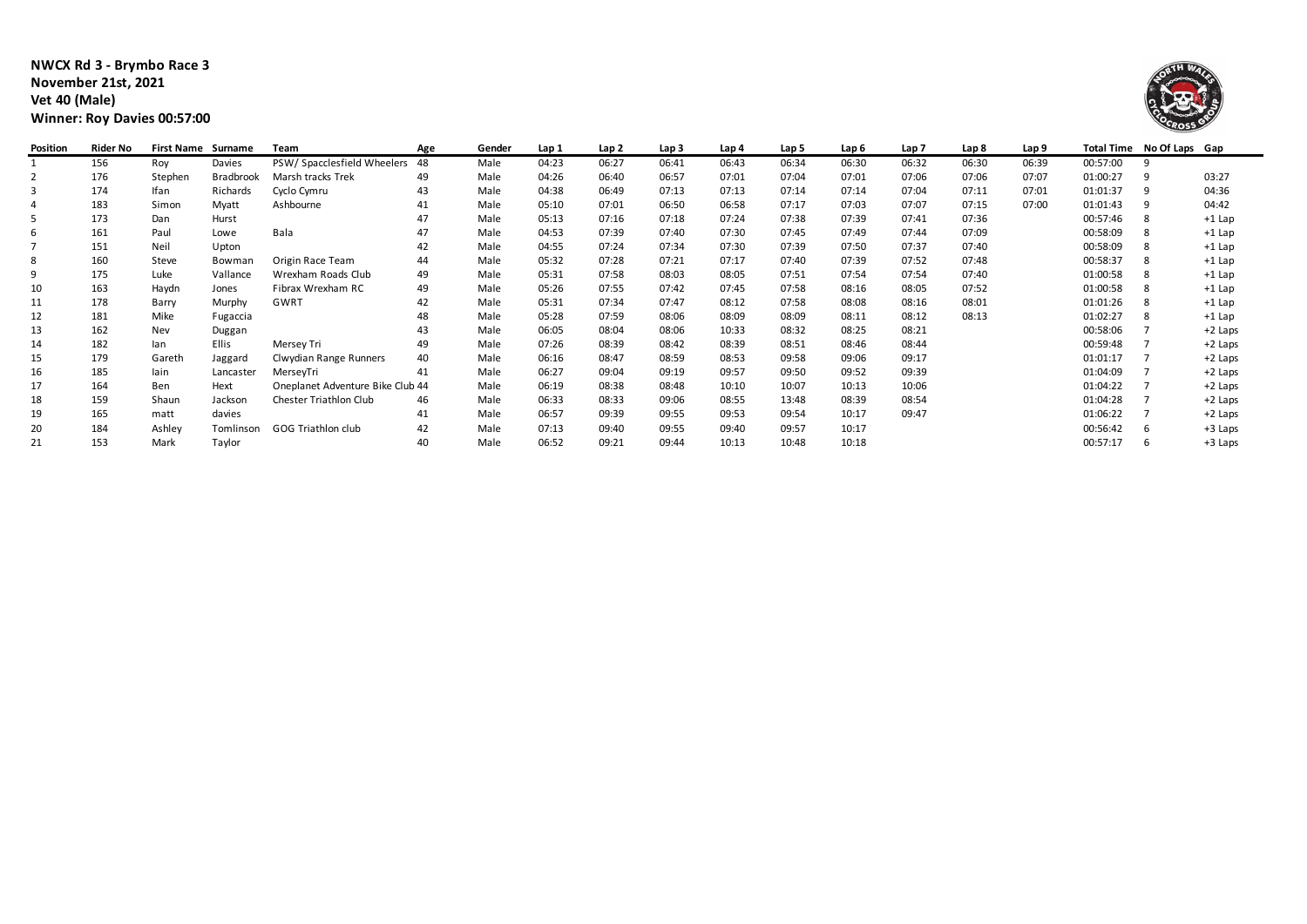# **NWCX Rd 3 - Brymbo Race 3 November 21st, 2021 Vet 40 (Male) Winner: Roy Davies 00:57:00**



| Position | Rider No | <b>First Name Surname</b> |                  | Team                             | Age | Gender | Lap 1 | Lap <sub>2</sub> | Lap 3 | Lap 4 | Lap 5 | Lap 6 | Lap <sub>7</sub> | Lap 8 | Lap 9 |          | Total Time No Of Laps Gap |           |
|----------|----------|---------------------------|------------------|----------------------------------|-----|--------|-------|------------------|-------|-------|-------|-------|------------------|-------|-------|----------|---------------------------|-----------|
|          | 156      | Roy                       | Davies           | PSW/ Spacclesfield Wheelers      | 48  | Male   | 04:23 | 06:27            | 06:41 | 06:43 | 06:34 | 06:30 | 06:32            | 06:30 | 06:39 | 00:57:00 | 9                         |           |
|          | 176      | Stephen                   | <b>Bradbrook</b> | Marsh tracks Trek                | 49  | Male   | 04:26 | 06:40            | 06:57 | 07:01 | 07:04 | 07:01 | 07:06            | 07:06 | 07:07 | 01:00:27 | q                         | 03:27     |
| 3        | 174      | Ifan                      | Richards         | Cyclo Cymru                      | 43  | Male   | 04:38 | 06:49            | 07:13 | 07:13 | 07:14 | 07:14 | 07:04            | 07:11 | 07:01 | 01:01:37 |                           | 04:36     |
|          | 183      | Simon                     | Myatt            | Ashbourne                        | 41  | Male   | 05:10 | 07:01            | 06:50 | 06:58 | 07:17 | 07:03 | 07:07            | 07:15 | 07:00 | 01:01:43 | 9                         | 04:42     |
| .5       | 173      | Dan                       | Hurst            |                                  | 47  | Male   | 05:13 | 07:16            | 07:18 | 07:24 | 07:38 | 07:39 | 07:41            | 07:36 |       | 00:57:46 | 8                         | $+1$ Lap  |
|          | 161      | Paul                      | Lowe             | Bala                             | 47  | Male   | 04:53 | 07:39            | 07:40 | 07:30 | 07:45 | 07:49 | 07:44            | 07:09 |       | 00:58:09 | 8                         | $+1$ Lap  |
|          | 151      | Neil                      | Upton            |                                  | 42  | Male   | 04:55 | 07:24            | 07:34 | 07:30 | 07:39 | 07:50 | 07:37            | 07:40 |       | 00:58:09 | 8                         | $+1$ Lap  |
|          | 160      | Steve                     | Bowman           | Origin Race Team                 | 44  | Male   | 05:32 | 07:28            | 07:21 | 07:17 | 07:40 | 07:39 | 07:52            | 07:48 |       | 00:58:37 | 8                         | $+1$ Lap  |
| 9        | 175      | Luke                      | Vallance         | Wrexham Roads Club               | 49  | Male   | 05:31 | 07:58            | 08:03 | 08:05 | 07:51 | 07:54 | 07:54            | 07:40 |       | 01:00:58 | 8                         | $+1$ Lap  |
| 10       | 163      | Haydn                     | Jones            | Fibrax Wrexham RC                | 49  | Male   | 05:26 | 07:55            | 07:42 | 07:45 | 07:58 | 08:16 | 08:05            | 07:52 |       | 01:00:58 | 8                         | $+1$ Lap  |
|          | 178      | Barry                     | Murphy           | GWRT                             | 42  | Male   | 05:31 | 07:34            | 07:47 | 08:12 | 07:58 | 08:08 | 08:16            | 08:01 |       | 01:01:26 | 8                         | $+1$ Lap  |
| 12       | 181      | Mike                      | Fugaccia         |                                  | 48  | Male   | 05:28 | 07:59            | 08:06 | 08:09 | 08:09 | 08:11 | 08:12            | 08:13 |       | 01:02:27 | 8                         | $+1$ Lap  |
| 13       | 162      | Nev                       | Duggan           |                                  | 43  | Male   | 06:05 | 08:04            | 08:06 | 10:33 | 08:32 | 08:25 | 08:21            |       |       | 00:58:06 |                           | +2 Laps   |
| 14       | 182      | lan                       | <b>Ellis</b>     | Mersey Tri                       | 49  | Male   | 07:26 | 08:39            | 08:42 | 08:39 | 08:51 | 08:46 | 08:44            |       |       | 00:59:48 |                           | +2 Laps   |
| 15       | 179      | Gareth                    | Jaggard          | Clwydian Range Runners           | 40  | Male   | 06:16 | 08:47            | 08:59 | 08:53 | 09:58 | 09:06 | 09:17            |       |       | 01:01:17 |                           | +2 Laps   |
| 16       | 185      | lain                      | Lancaster        | MerseyTri                        | 41  | Male   | 06:27 | 09:04            | 09:19 | 09:57 | 09:50 | 09:52 | 09:39            |       |       | 01:04:09 |                           | +2 Laps   |
|          | 164      | Ben                       | Hext             | Oneplanet Adventure Bike Club 44 |     | Male   | 06:19 | 08:38            | 08:48 | 10:10 | 10:07 | 10:13 | 10:06            |       |       | 01:04:22 |                           | $+2$ Laps |
| 18       | 159      | Shaun                     | Jackson          | Chester Triathlon Club           | 46  | Male   | 06:33 | 08:33            | 09:06 | 08:55 | 13:48 | 08:39 | 08:54            |       |       | 01:04:28 |                           | +2 Laps   |
| 19       | 165      | matt                      | davies           |                                  | 41  | Male   | 06:57 | 09:39            | 09:55 | 09:53 | 09:54 | 10:17 | 09:47            |       |       | 01:06:22 |                           | +2 Laps   |
| 20       | 184      | Ashley                    | Tomlinson        | <b>GOG Triathlon club</b>        | 42  | Male   | 07:13 | 09:40            | 09:55 | 09:40 | 09:57 | 10:17 |                  |       |       | 00:56:42 | -6                        | +3 Laps   |
| 21       | 153      | Mark                      | Taylor           |                                  | 40  | Male   | 06:52 | 09:21            | 09:44 | 10:13 | 10:48 | 10:18 |                  |       |       | 00:57:17 | 6                         | +3 Laps   |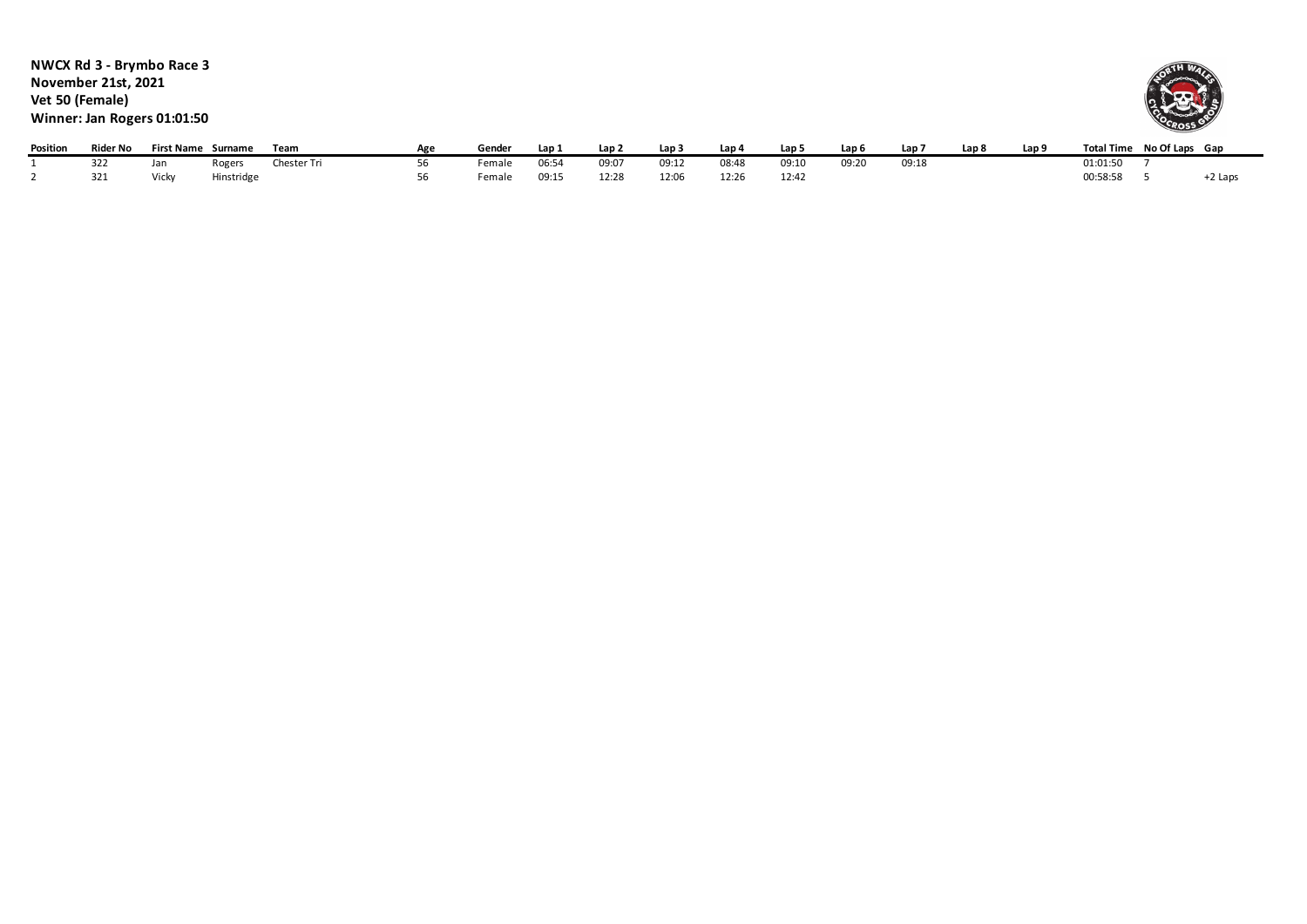**NWCX Rd 3 - Brymbo Race 3 November 21st, 2021 Vet 50 (Female) Winner: Jan Rogers 01:01:50**



| Position | Rider No | <b>First Name</b> | Surname    | Tear        | Δσρ | Gende. | Lap : | 'ap.  | Lan . | Lap 4 | Lap!  | Lap <sub>6</sub> | Lap T | an 8 | Lap! | <b>Total Time</b> | No Of Laps Gap |        |
|----------|----------|-------------------|------------|-------------|-----|--------|-------|-------|-------|-------|-------|------------------|-------|------|------|-------------------|----------------|--------|
|          | 322      | Jan               | Rogers     | Chester Tri |     | emale∼ | 06:54 | 09:07 | 09:12 | 08:48 | 09:10 | 09:20            | 09:18 |      |      | 01:01:50          |                |        |
|          | 321      | Vicky             | Hinstridge |             |     | emale  | 09:15 | 12:28 | 12:06 | 12:26 | 12:42 |                  |       |      |      | 00:58:58          |                | +2 Lap |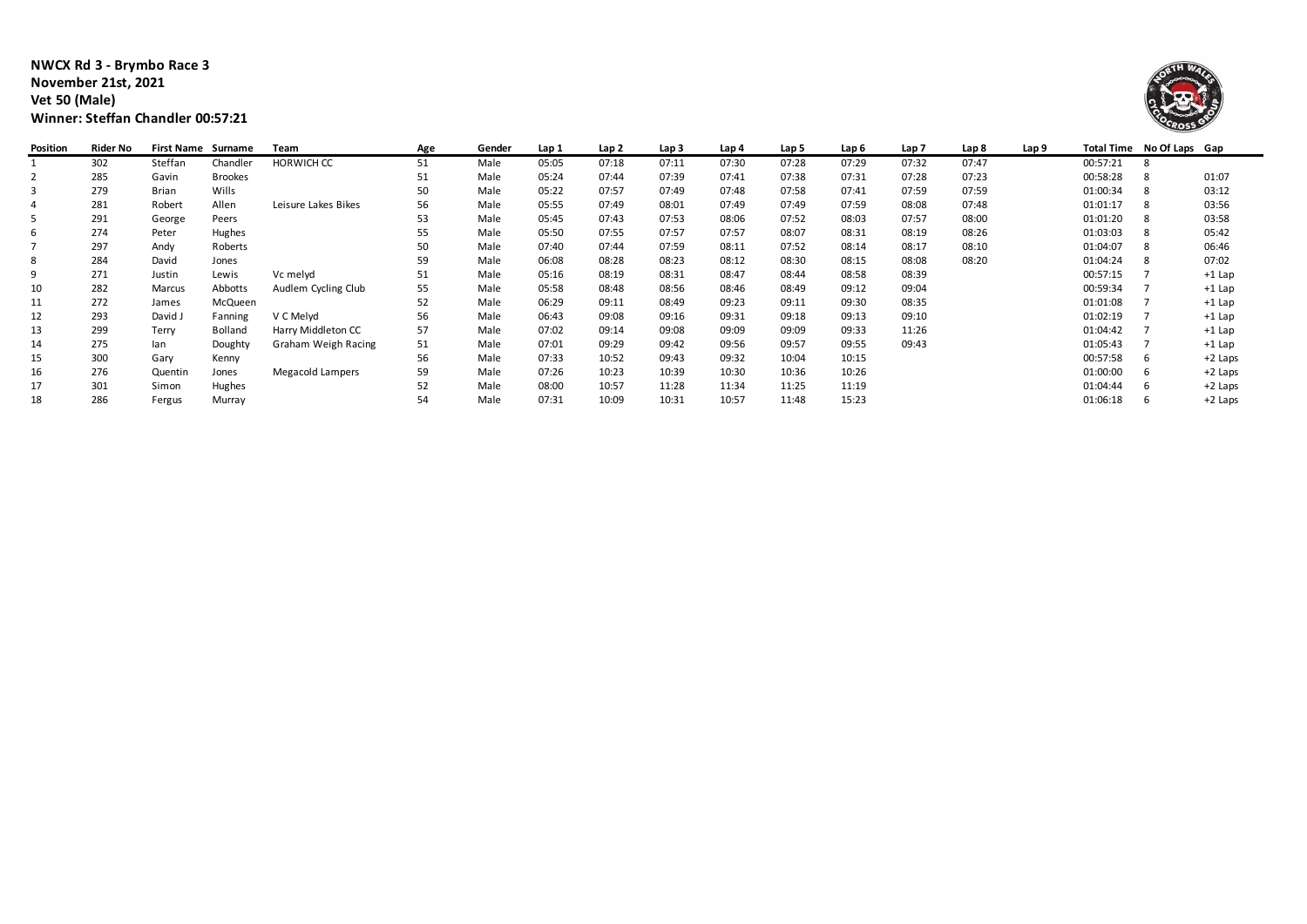## **NWCX Rd 3 - Brymbo Race 3 November 21st, 2021 Vet 50 (Male) Winner: Steffan Chandler 00:57:21**



| Position | Rider No | <b>First Name</b> | Surname        | Team                | Age | Gender | Lap 1 | Lap <sub>2</sub> | Lap 3 | Lap 4 | Lap 5 | Lap 6 | Lap <sub>7</sub> | Lap 8 | Lap 9 |          | Total Time No Of Laps Gap |           |
|----------|----------|-------------------|----------------|---------------------|-----|--------|-------|------------------|-------|-------|-------|-------|------------------|-------|-------|----------|---------------------------|-----------|
|          | 302      | Steffan           | Chandler       | HORWICH CC          | 51  | Male   | 05:05 | 07:18            | 07:11 | 07:30 | 07:28 | 07:29 | 07:32            | 07:47 |       | 00:57:21 |                           |           |
|          | 285      | Gavin             | <b>Brookes</b> |                     | 51  | Male   | 05:24 | 07:44            | 07:39 | 07:41 | 07:38 | 07:31 | 07:28            | 07:23 |       | 00:58:28 |                           | 01:07     |
|          | 279      | <b>Brian</b>      | Wills          |                     | 50  | Male   | 05:22 | 07:57            | 07:49 | 07:48 | 07:58 | 07:41 | 07:59            | 07:59 |       | 01:00:34 |                           | 03:12     |
|          | 281      | Robert            | Allen          | Leisure Lakes Bikes | 56  | Male   | 05:55 | 07:49            | 08:01 | 07:49 | 07:49 | 07:59 | 08:08            | 07:48 |       | 01:01:17 |                           | 03:56     |
|          | 291      | George            | Peers          |                     | 53  | Male   | 05:45 | 07:43            | 07:53 | 08:06 | 07:52 | 08:03 | 07:57            | 08:00 |       | 01:01:20 |                           | 03:58     |
| 6        | 274      | Peter             | Hughes         |                     | 55  | Male   | 05:50 | 07:55            | 07:57 | 07:57 | 08:07 | 08:31 | 08:19            | 08:26 |       | 01:03:03 |                           | 05:42     |
|          | 297      | Andy              | Roberts        |                     | 50  | Male   | 07:40 | 07:44            | 07:59 | 08:11 | 07:52 | 08:14 | 08:17            | 08:10 |       | 01:04:07 |                           | 06:46     |
| 8        | 284      | David             | Jones          |                     | 59  | Male   | 06:08 | 08:28            | 08:23 | 08:12 | 08:30 | 08:15 | 08:08            | 08:20 |       | 01:04:24 |                           | 07:02     |
| 9        | 271      | Justin            | Lewis          | Vc melyd            | 51  | Male   | 05:16 | 08:19            | 08:31 | 08:47 | 08:44 | 08:58 | 08:39            |       |       | 00:57:15 |                           | $+1$ Lap  |
| 10       | 282      | Marcus            | Abbotts        | Audlem Cycling Club | 55  | Male   | 05:58 | 08:48            | 08:56 | 08:46 | 08:49 | 09:12 | 09:04            |       |       | 00:59:34 |                           | $+1$ Lap  |
| 11       | 272      | James             | McQueen        |                     | 52  | Male   | 06:29 | 09:11            | 08:49 | 09:23 | 09:11 | 09:30 | 08:35            |       |       | 01:01:08 |                           | $+1$ Lap  |
| 12       | 293      | David J           | Fanning        | V C Melyd           | 56  | Male   | 06:43 | 09:08            | 09:16 | 09:31 | 09:18 | 09:13 | 09:10            |       |       | 01:02:19 |                           | $+1$ Lap  |
| 13       | 299      | Terry             | <b>Bolland</b> | Harry Middleton CC  | 57  | Male   | 07:02 | 09:14            | 09:08 | 09:09 | 09:09 | 09:33 | 11:26            |       |       | 01:04:42 |                           | $+1$ Lap  |
| 14       | 275      | lan               | Doughty        | Graham Weigh Racing | 51  | Male   | 07:01 | 09:29            | 09:42 | 09:56 | 09:57 | 09:55 | 09:43            |       |       | 01:05:43 |                           | $+1$ Lap  |
| 15       | 300      | Gary              | Kenny          |                     | 56  | Male   | 07:33 | 10:52            | 09:43 | 09:32 | 10:04 | 10:15 |                  |       |       | 00:57:58 |                           | +2 Laps   |
| 16       | 276      | Quentin           | Jones          | Megacold Lampers    | 59  | Male   | 07:26 | 10:23            | 10:39 | 10:30 | 10:36 | 10:26 |                  |       |       | 01:00:00 |                           | +2 Laps   |
| 17       | 301      | Simon             | Hughes         |                     | 52  | Male   | 08:00 | 10:57            | 11:28 | 11:34 | 11:25 | 11:19 |                  |       |       | 01:04:44 |                           | +2 Laps   |
| 18       | 286      | Fergus            | Murray         |                     | 54  | Male   | 07:31 | 10:09            | 10:31 | 10:57 | 11:48 | 15:23 |                  |       |       | 01:06:18 |                           | $+2$ Laps |